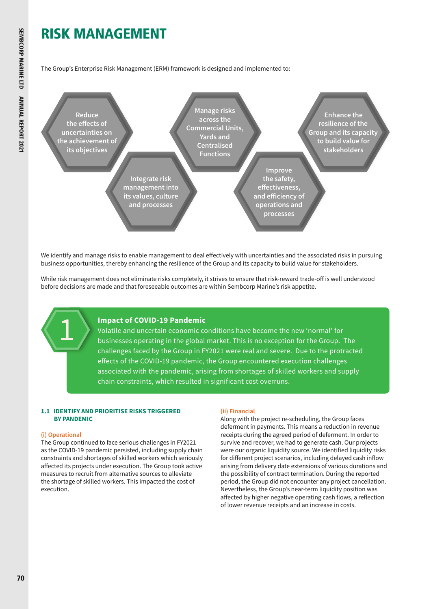# RISK MANAGEMENT

The Group's Enterprise Risk Management (ERM) framework is designed and implemented to:



We identify and manage risks to enable management to deal effectively with uncertainties and the associated risks in pursuing business opportunities, thereby enhancing the resilience of the Group and its capacity to build value for stakeholders.

While risk management does not eliminate risks completely, it strives to ensure that risk-reward trade-off is well understood before decisions are made and that foreseeable outcomes are within Sembcorp Marine's risk appetite.

### **Impact of COVID-19 Pandemic**

Volatile and uncertain economic conditions have become the new 'normal' for businesses operating in the global market. This is no exception for the Group. The challenges faced by the Group in FY2021 were real and severe. Due to the protracted effects of the COVID-19 pandemic, the Group encountered execution challenges associated with the pandemic, arising from shortages of skilled workers and supply chain constraints, which resulted in significant cost overruns.

#### **1.1 IDENTIFY AND PRIORITISE RISKS TRIGGERED BY PANDEMIC**

#### **(i) Operational**

1

The Group continued to face serious challenges in FY2021 as the COVID-19 pandemic persisted, including supply chain constraints and shortages of skilled workers which seriously affected its projects under execution. The Group took active measures to recruit from alternative sources to alleviate the shortage of skilled workers. This impacted the cost of execution.

#### **(ii) Financial**

Along with the project re-scheduling, the Group faces deferment in payments. This means a reduction in revenue receipts during the agreed period of deferment. In order to survive and recover, we had to generate cash. Our projects were our organic liquidity source. We identified liquidity risks for different project scenarios, including delayed cash inflow arising from delivery date extensions of various durations and the possibility of contract termination. During the reported period, the Group did not encounter any project cancellation. Nevertheless, the Group's near-term liquidity position was affected by higher negative operating cash flows, a reflection of lower revenue receipts and an increase in costs.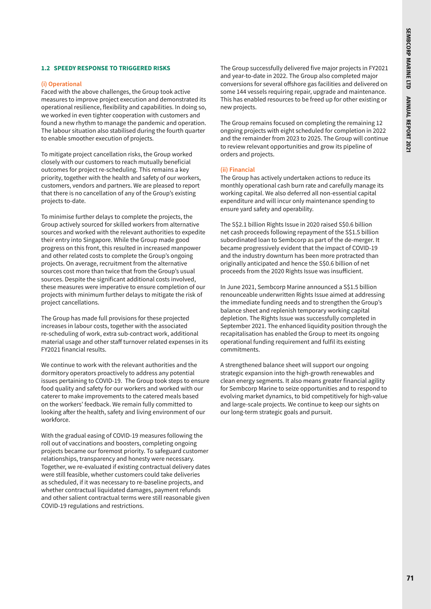#### **1.2 SPEEDY RESPONSE TO TRIGGERED RISKS**

#### **(i) Operational**

Faced with the above challenges, the Group took active measures to improve project execution and demonstrated its operational resilience, flexibility and capabilities. In doing so, we worked in even tighter cooperation with customers and found a new rhythm to manage the pandemic and operation. The labour situation also stabilised during the fourth quarter to enable smoother execution of projects.

To mitigate project cancellation risks, the Group worked closely with our customers to reach mutually beneficial outcomes for project re-scheduling. This remains a key priority, together with the health and safety of our workers, customers, vendors and partners. We are pleased to report that there is no cancellation of any of the Group's existing projects to-date.

To minimise further delays to complete the projects, the Group actively sourced for skilled workers from alternative sources and worked with the relevant authorities to expedite their entry into Singapore. While the Group made good progress on this front, this resulted in increased manpower and other related costs to complete the Group's ongoing projects. On average, recruitment from the alternative sources cost more than twice that from the Group's usual sources. Despite the significant additional costs involved, these measures were imperative to ensure completion of our projects with minimum further delays to mitigate the risk of project cancellations.

The Group has made full provisions for these projected increases in labour costs, together with the associated re-scheduling of work, extra sub-contract work, additional material usage and other staff turnover related expenses in its FY2021 financial results.

We continue to work with the relevant authorities and the dormitory operators proactively to address any potential issues pertaining to COVID-19. The Group took steps to ensure food quality and safety for our workers and worked with our caterer to make improvements to the catered meals based on the workers' feedback. We remain fully committed to looking after the health, safety and living environment of our workforce.

With the gradual easing of COVID-19 measures following the roll out of vaccinations and boosters, completing ongoing projects became our foremost priority. To safeguard customer relationships, transparency and honesty were necessary. Together, we re-evaluated if existing contractual delivery dates were still feasible, whether customers could take deliveries as scheduled, if it was necessary to re-baseline projects, and whether contractual liquidated damages, payment refunds and other salient contractual terms were still reasonable given COVID-19 regulations and restrictions.

The Group successfully delivered five major projects in FY2021 and year-to-date in 2022. The Group also completed major conversions for several offshore gas facilities and delivered on some 144 vessels requiring repair, upgrade and maintenance. This has enabled resources to be freed up for other existing or new projects.

The Group remains focused on completing the remaining 12 ongoing projects with eight scheduled for completion in 2022 and the remainder from 2023 to 2025. The Group will continue to review relevant opportunities and grow its pipeline of orders and projects.

#### **(ii) Financial**

The Group has actively undertaken actions to reduce its monthly operational cash burn rate and carefully manage its working capital. We also deferred all non-essential capital expenditure and will incur only maintenance spending to ensure yard safety and operability.

The S\$2.1 billion Rights Issue in 2020 raised S\$0.6 billion net cash proceeds following repayment of the S\$1.5 billion subordinated loan to Sembcorp as part of the de-merger. It became progressively evident that the impact of COVID-19 and the industry downturn has been more protracted than originally anticipated and hence the S\$0.6 billion of net proceeds from the 2020 Rights Issue was insufficient.

In June 2021, Sembcorp Marine announced a S\$1.5 billion renounceable underwritten Rights Issue aimed at addressing the immediate funding needs and to strengthen the Group's balance sheet and replenish temporary working capital depletion. The Rights Issue was successfully completed in September 2021. The enhanced liquidity position through the recapitalisation has enabled the Group to meet its ongoing operational funding requirement and fulfil its existing commitments.

A strengthened balance sheet will support our ongoing strategic expansion into the high-growth renewables and clean energy segments. It also means greater financial agility for Sembcorp Marine to seize opportunities and to respond to evolving market dynamics, to bid competitively for high-value and large-scale projects. We continue to keep our sights on our long-term strategic goals and pursuit.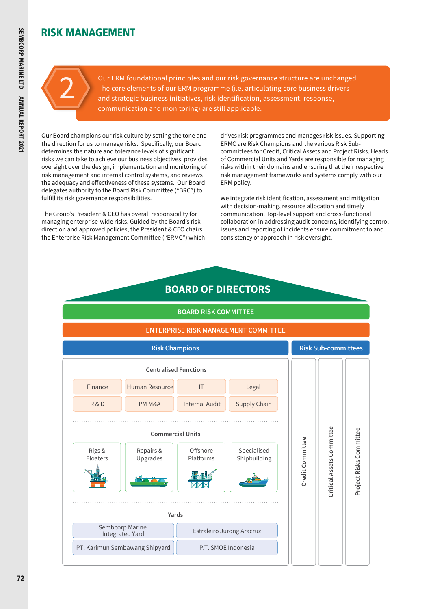# RISK MANAGEMENT

2

Our ERM foundational principles and our risk governance structure are unchanged. The core elements of our ERM programme (i.e. articulating core business drivers and strategic business initiatives, risk identification, assessment, response, communication and monitoring) are still applicable.

Our Board champions our risk culture by setting the tone and the direction for us to manage risks. Specifically, our Board determines the nature and tolerance levels of significant risks we can take to achieve our business objectives, provides oversight over the design, implementation and monitoring of risk management and internal control systems, and reviews the adequacy and effectiveness of these systems. Our Board delegates authority to the Board Risk Committee ("BRC") to fulfill its risk governance responsibilities.

The Group's President & CEO has overall responsibility for managing enterprise-wide risks. Guided by the Board's risk direction and approved policies, the President & CEO chairs the Enterprise Risk Management Committee ("ERMC") which drives risk programmes and manages risk issues. Supporting ERMC are Risk Champions and the various Risk Subcommittees for Credit, Critical Assets and Project Risks. Heads of Commercial Units and Yards are responsible for managing risks within their domains and ensuring that their respective risk management frameworks and systems comply with our ERM policy.

We integrate risk identification, assessment and mitigation with decision-making, resource allocation and timely communication. Top-level support and cross-functional collaboration in addressing audit concerns, identifying control issues and reporting of incidents ensure commitment to and consistency of approach in risk oversight.

# **BOARD OF DIRECTORS**

#### **BOARD RISK COMMITTEE ENTERPRISE RISK MANAGEMENT COMMITTEE Risk Champions Risk Sub-committees Centralised Functions** Human Resource IT Finance Legal R & D PM M&A Internal Audit Supply Chain **Critical Assets Committee** Project Risks Committee **Project Risks Committee Commercial Units** Credit Committee **Credit Committee** Repairs & Offshore | Specialised Rigs & Floaters Upgrades  $\vert \vert$  Platforms Shipbuilding **Yards** Sembcorp Marine Estraleiro Jurong Aracruz PT. Karimun Sembawang ShipyardP.T. SMOE Indonesia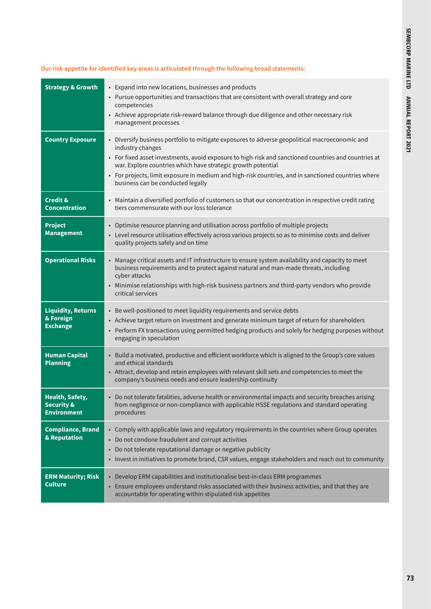# **Our risk appetite for identified key areas is articulated through the following broad statements:**

| <b>Strategy &amp; Growth</b>                                          | • Expand into new locations, businesses and products<br>• Pursue opportunities and transactions that are consistent with overall strategy and core<br>competencies<br>• Achieve appropriate risk-reward balance through due diligence and other necessary risk<br>management processes                                                                                                                                                 |
|-----------------------------------------------------------------------|----------------------------------------------------------------------------------------------------------------------------------------------------------------------------------------------------------------------------------------------------------------------------------------------------------------------------------------------------------------------------------------------------------------------------------------|
| <b>Country Exposure</b>                                               | • Diversify business portfolio to mitigate exposures to adverse geopolitical macroeconomic and<br>industry changes<br>• For fixed asset investments, avoid exposure to high-risk and sanctioned countries and countries at<br>war. Explore countries which have strategic growth potential<br>• For projects, limit exposure in medium and high-risk countries, and in sanctioned countries where<br>business can be conducted legally |
| <b>Credit &amp;</b><br><b>Concentration</b>                           | • Maintain a diversified portfolio of customers so that our concentration in respective credit rating<br>tiers commensurate with our loss tolerance                                                                                                                                                                                                                                                                                    |
| <b>Project</b><br><b>Management</b>                                   | • Optimise resource planning and utilisation across portfolio of multiple projects<br>• Level resource utilisation effectively across various projects so as to minimise costs and deliver<br>quality projects safely and on time                                                                                                                                                                                                      |
| <b>Operational Risks</b>                                              | • Manage critical assets and IT infrastructure to ensure system availability and capacity to meet<br>business requirements and to protect against natural and man-made threats, including<br>cyber attacks<br>• Minimise relationships with high-risk business partners and third-party vendors who provide<br>critical services                                                                                                       |
| <b>Liquidity, Returns</b><br>& Foreign<br><b>Exchange</b>             | • Be well-positioned to meet liquidity requirements and service debts<br>• Achieve target return on investment and generate minimum target of return for shareholders<br>• Perform FX transactions using permitted hedging products and solely for hedging purposes without<br>engaging in speculation                                                                                                                                 |
| <b>Human Capital</b><br><b>Planning</b>                               | • Build a motivated, productive and efficient workforce which is aligned to the Group's core values<br>and ethical standards<br>• Attract, develop and retain employees with relevant skill sets and competencies to meet the<br>company's business needs and ensure leadership continuity                                                                                                                                             |
| <b>Health, Safety,</b><br><b>Security &amp;</b><br><b>Environment</b> | • Do not tolerate fatalities, adverse health or environmental impacts and security breaches arising<br>from negligence or non-compliance with applicable HSSE regulations and standard operating<br>procedures                                                                                                                                                                                                                         |
| <b>Compliance, Brand</b><br>& Reputation                              | • Comply with applicable laws and regulatory requirements in the countries where Group operates<br>• Do not condone fraudulent and corrupt activities<br>• Do not tolerate reputational damage or negative publicity<br>• Invest in initiatives to promote brand, CSR values, engage stakeholders and reach out to community                                                                                                           |
| <b>ERM Maturity; Risk</b><br><b>Culture</b>                           | • Develop ERM capabilities and institutionalise best-in-class ERM programmes<br>• Ensure employees understand risks associated with their business activities, and that they are<br>accountable for operating within stipulated risk appetites                                                                                                                                                                                         |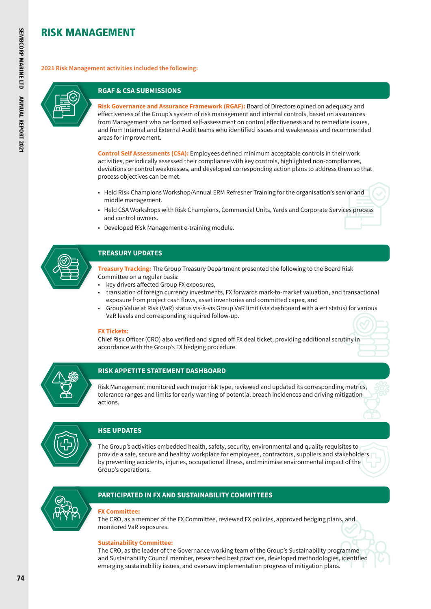# RISK MANAGEMENT

**2021 Risk Management activities included the following:**



# **RGAF & CSA SUBMISSIONS**

**Risk Governance and Assurance Framework (RGAF):** Board of Directors opined on adequacy and effectiveness of the Group's system of risk management and internal controls, based on assurances from Management who performed self-assessment on control effectiveness and to remediate issues, and from Internal and External Audit teams who identified issues and weaknesses and recommended areas for improvement.

**Control Self Assessments (CSA):** Employees defined minimum acceptable controls in their work activities, periodically assessed their compliance with key controls, highlighted non-compliances, deviations or control weaknesses, and developed corresponding action plans to address them so that process objectives can be met.

- Held Risk Champions Workshop/Annual ERM Refresher Training for the organisation's senior and middle management.
- Held CSA Workshops with Risk Champions, Commercial Units, Yards and Corporate Services process and control owners.
- Developed Risk Management e-training module.



## **TREASURY UPDATES**

- **Treasury Tracking:** The Group Treasury Department presented the following to the Board Risk Committee on a regular basis:
- key drivers affected Group FX exposures,
- translation of foreign currency investments, FX forwards mark-to-market valuation, and transactional exposure from project cash flows, asset inventories and committed capex, and
- Group Value at Risk (VaR) status vis-à-vis Group VaR limit (via dashboard with alert status) for various VaR levels and corresponding required follow-up.

#### **FX Tickets:**

Chief Risk Officer (CRO) also verified and signed off FX deal ticket, providing additional scrutiny in accordance with the Group's FX hedging procedure.



#### **RISK APPETITE STATEMENT DASHBOARD**

Risk Management monitored each major risk type, reviewed and updated its corresponding metrics, tolerance ranges and limits for early warning of potential breach incidences and driving mitigation actions.



# **HSE UPDATES**

The Group's activities embedded health, safety, security, environmental and quality requisites to provide a safe, secure and healthy workplace for employees, contractors, suppliers and stakeholders by preventing accidents, injuries, occupational illness, and minimise environmental impact of the Group's operations.



# **PARTICIPATED IN FX AND SUSTAINABILITY COMMITTEES**

#### **FX Committee:**

The CRO, as a member of the FX Committee, reviewed FX policies, approved hedging plans, and monitored VaR exposures.

#### **Sustainability Committee:**

The CRO, as the leader of the Governance working team of the Group's Sustainability programme and Sustainability Council member, researched best practices, developed methodologies, identified emerging sustainability issues, and oversaw implementation progress of mitigation plans.